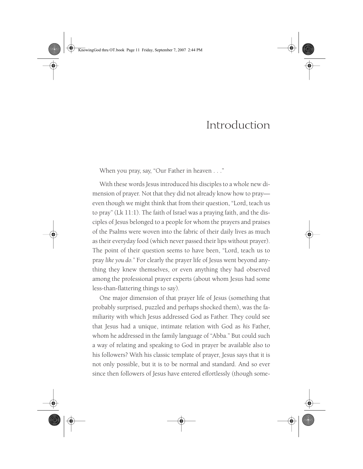KnowingGod thru OT.book Page 11 Friday, September 7, 2007 2:44 PM

# Introduction

When you pray, say, "Our Father in heaven . . ."

With these words Jesus introduced his disciples to a whole new dimension of prayer. Not that they did not already know how to pray even though we might think that from their question, "Lord, teach us to pray" (Lk 11:1). The faith of Israel was a praying faith, and the disciples of Jesus belonged to a people for whom the prayers and praises of the Psalms were woven into the fabric of their daily lives as much as their everyday food (which never passed their lips without prayer). The point of their question seems to have been, "Lord, teach us to pray *like you do.*" For clearly the prayer life of Jesus went beyond anything they knew themselves, or even anything they had observed among the professional prayer experts (about whom Jesus had some less-than-flattering things to say).

One major dimension of that prayer life of Jesus (something that probably surprised, puzzled and perhaps shocked them), was the familiarity with which Jesus addressed God as Father. They could see that Jesus had a unique, intimate relation with God as *his* Father, whom he addressed in the family language of "Abba." But could such a way of relating and speaking to God in prayer be available also to his followers? With his classic template of prayer, Jesus says that it is not only possible, but it is to be normal and standard. And so ever since then followers of Jesus have entered effortlessly (though some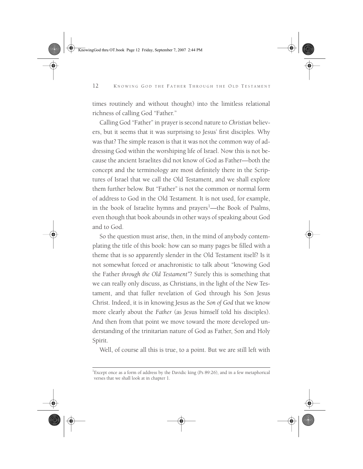KnowingGod thru OT.book Page 12 Friday, September 7, 2007 2:44 PM

#### 12 KNOWING GOD THE FATHER THROUGH THE OLD TESTAMENT

times routinely and without thought) into the limitless relational richness of calling God "Father."

Calling God "Father" in prayer is second nature to *Christian* believers, but it seems that it was surprising to Jesus' first disciples. Why was that? The simple reason is that it was not the common way of addressing God within the worshiping life of Israel. Now this is not because the ancient Israelites did not know of God as Father—both the concept and the terminology are most definitely there in the Scriptures of Israel that we call the Old Testament, and we shall explore them further below. But "Father" is not the common or normal form of address to God in the Old Testament. It is not used, for example, in the book of Israelite hymns and prayers<sup>1</sup>—the Book of Psalms, even though that book abounds in other ways of speaking about God and to God.

So the question must arise, then, in the mind of anybody contemplating the title of this book: how can so many pages be filled with a theme that is so apparently slender in the Old Testament itself? Is it not somewhat forced or anachronistic to talk about "knowing God the Father *through the Old Testament"*? Surely this is something that we can really only discuss, as Christians, in the light of the New Testament, and that fuller revelation of God through his Son Jesus Christ. Indeed, it is in knowing Jesus as the *Son of God* that we know more clearly about the *Father* (as Jesus himself told his disciples). And then from that point we move toward the more developed understanding of the trinitarian nature of God as Father, Son and Holy Spirit.

Well, of course all this is true, to a point. But we are still left with

<sup>&</sup>lt;sup>1</sup>Except once as a form of address by the Davidic king (Ps 89:26), and in a few metaphorical verses that we shall look at in chapter 1.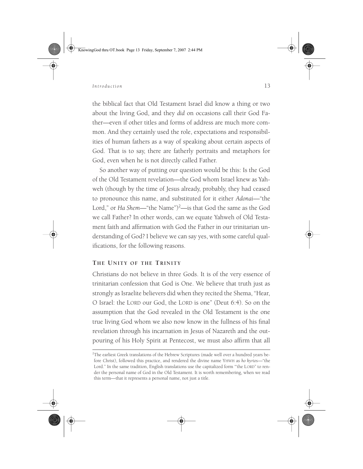KnowingGod thru OT.book Page 13 Friday, September 7, 2007 2:44 PM

## *Introduction* 13

the biblical fact that Old Testament Israel did know a thing or two about the living God, and they *did* on occasions call their God Father—even if other titles and forms of address are much more common. And they certainly used the role, expectations and responsibilities of human fathers as a way of speaking about certain aspects of God. That is to say, there are fatherly portraits and metaphors for God, even when he is not directly called Father.

So another way of putting our question would be this: Is the God of the Old Testament revelation—the God whom Israel knew as Yahweh (though by the time of Jesus already, probably, they had ceased to pronounce this name, and substituted for it either *Adonai*—"the Lord," or *Ha Shem*—"the Name")<sup>2</sup>—is that God the same as the God we call Father? In other words, can we equate Yahweh of Old Testament faith and affirmation with God the Father in our trinitarian understanding of God? I believe we can say yes, with some careful qualifications, for the following reasons.

## **THE UNITY OF THE TRINITY**

Christians do not believe in three Gods. It is of the very essence of trinitarian confession that God is One. We believe that truth just as strongly as Israelite believers did when they recited the Shema, "Hear, O Israel: the LORD our God, the LORD is one" (Deut 6:4). So on the assumption that the God revealed in the Old Testament is the one true living God whom we also now know in the fullness of his final revelation through his incarnation in Jesus of Nazareth and the outpouring of his Holy Spirit at Pentecost, we must also affirm that all

<sup>&</sup>lt;sup>2</sup>The earliest Greek translations of the Hebrew Scriptures (made well over a hundred years before Christ), followed this practice, and rendered the divine name YHWH as *ho kyrios*—"the Lord." In the same tradition, English translations use the capitalized form "the LORD" to render the personal name of God in the Old Testament. It is worth remembering, when we read this term—that it represents a personal name, not just a title.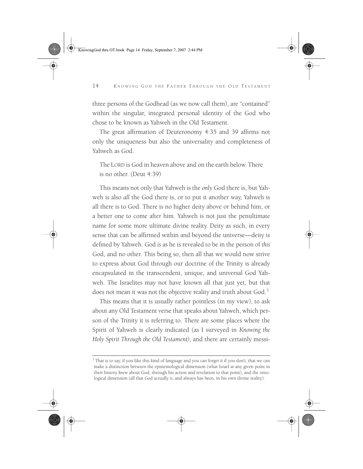KnowingGod thru OT.book Page 14 Friday, September 7, 2007 2:44 PM



## 14 KNOWING GOD THE FATHER THROUGH THE OLD TESTAMENT

three persons of the Godhead (as we now call them), are "contained" within the singular, integrated personal identity of the God who chose to be known as Yahweh in the Old Testament.

The great affirmation of Deuteronomy 4:35 and 39 affirms not only the uniqueness but also the universality and completeness of Yahweh as God.

The LORD is God in heaven above and on the earth below. There is no other. (Deut 4:39)

This means not only that Yahweh is the *only* God there is, but Yahweh is also *all* the God there is, or to put it another way, Yahweh is all there is to God. There is no higher deity above or behind him, or a better one to come after him. Yahweh is not just the penultimate name for some more ultimate divine reality. Deity as such, in every sense that can be affirmed within and beyond the universe—deity is defined by Yahweh. God *is* as he is revealed to be in the person of *this* God, and no other. This being so, then all that we would now strive to express about God through our doctrine of the Trinity is already encapsulated in the transcendent, unique, and universal God Yahweh. The Israelites may not have known all that just yet, but that does not mean it was not the objective reality and truth about God.<sup>3</sup>

This means that it is usually rather pointless (in my view), to ask about any Old Testament verse that speaks about Yahweh, which person of the Trinity it is referring to. There are some places where the Spirit of Yahweh is clearly indicated (as I surveyed in *Knowing the Holy Spirit Through the Old Testament),* and there are certainly messi-

 $3$  That is to say, if you like this kind of language and you can forget it if you don't, that we can make a distinction between the epistemological dimension (what Israel at any given point in their history *knew* about God, through his action and revelation to that point), and the ontological dimension (all that God actually *is,* and always has been, in his own divine reality).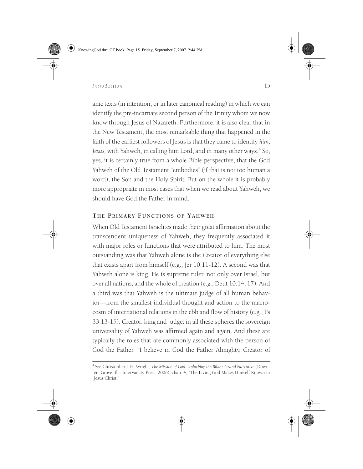KnowingGod thru OT.book Page 15 Friday, September 7, 2007 2:44 PM

## *Introduction* 15

anic texts (in intention, or in later canonical reading) in which we can identify the pre-incarnate second person of the Trinity whom we now know through Jesus of Nazareth. Furthermore, it is also clear that in the New Testament, the most remarkable thing that happened in the faith of the earliest followers of Jesus is that they came to identify *him, Jesus, with Yahweh, in calling him Lord, and in many other ways.*<sup>4</sup> So, yes, it is certainly true from a whole-Bible perspective, that the God Yahweh of the Old Testament "embodies" (if that is not too human a word), the Son and the Holy Spirit. But on the whole it is probably more appropriate in most cases that when we read about Yahweh, we should have God the Father in mind.

# **THE PRIMARY FUNCTIONS OF YAHWEH**

When Old Testament Israelites made their great affirmation about the transcendent uniqueness of Yahweh, they frequently associated it with major roles or functions that were attributed to him. The most outstanding was that Yahweh alone is the Creator of everything else that exists apart from himself (e.g., Jer 10:11-12). A second was that Yahweh alone is king. He is supreme ruler, not only over Israel, but over all nations, and the whole of creation (e.g., Deut 10:14, 17). And a third was that Yahweh is the ultimate judge of all human behavior—from the smallest individual thought and action to the macrocosm of international relations in the ebb and flow of history (e.g., Ps 33:13-15). Creator, king and judge: in all these spheres the sovereign universality of Yahweh was affirmed again and again. And these are typically the roles that are commonly associated with the person of God the Father. "I believe in God the Father Almighty, Creator of



<sup>4</sup> See Christopher J. H. Wright, *The Mission of God: Unlocking the Bible's Grand Narrative* (Downers Grove, Ill.: InterVarsity Press, 2006), chap. 4, "The Living God Makes Himself Known in Jesus Christ."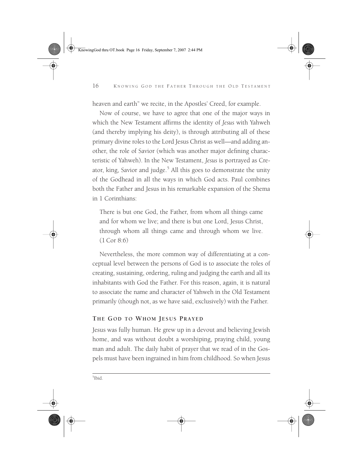KnowingGod thru OT.book Page 16 Friday, September 7, 2007 2:44 PM

#### 16 KNOWING GOD THE FATHER THROUGH THE OLD TESTAMENT

heaven and earth" we recite, in the Apostles' Creed, for example.

Now of course, we have to agree that one of the major ways in which the New Testament affirms the identity of *Jesus* with Yahweh (and thereby implying his deity), is through attributing all of these primary divine roles to the Lord Jesus Christ as well—and adding another, the role of Savior (which was another major defining characteristic of Yahweh). In the New Testament, *Jesus* is portrayed as Creator, king, Savior and judge. $5$  All this goes to demonstrate the unity of the Godhead in all the ways in which God acts. Paul combines both the Father and Jesus in his remarkable expansion of the Shema in 1 Corinthians:

There is but one God, the Father, from whom all things came and for whom we live; and there is but one Lord, Jesus Christ, through whom all things came and through whom we live. (1 Cor 8:6)

Nevertheless, the more common way of differentiating at a conceptual level between the persons of God is to associate the roles of creating, sustaining, ordering, ruling and judging the earth and all its inhabitants with God the Father. For this reason, again, it is natural to associate the name and character of Yahweh in the Old Testament primarily (though not, as we have said, exclusively) with the Father.

# **THE GOD TO WHOM JESUS PRAYED**

5 Ibid.

Jesus was fully human. He grew up in a devout and believing Jewish home, and was without doubt a worshiping, praying child, young man and adult. The daily habit of prayer that we read of in the Gospels must have been ingrained in him from childhood. So when Jesus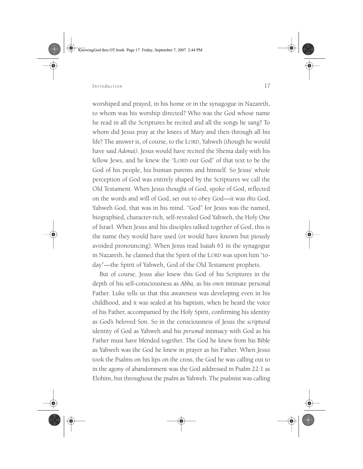KnowingGod thru OT.book Page 17 Friday, September 7, 2007 2:44 PM

*Introduction* 17

worshiped and prayed, in his home or in the synagogue in Nazareth, to whom was his worship directed? Who was the God whose name he read in all the Scriptures he recited and all the songs he sang? To whom did Jesus pray at the knees of Mary and then through all his life? The answer is, of course, to the LORD, Yahweh (though he would have said *Adonai).* Jesus would have recited the Shema daily with his fellow Jews, and he knew the "LORD our God" of that text to be the God of his people, his human parents and himself. So Jesus' whole perception of God was entirely shaped by the Scriptures we call the Old Testament. When Jesus thought of God, spoke of God, reflected on the words and will of God, set out to obey God—it was *this* God, Yahweh God, that was in his mind. "God" for Jesus was the named, biographied, character-rich, self-revealed God Yahweh, the Holy One of Israel. When Jesus and his disciples talked together of God, this is the name they would have used (or would have known but piously avoided pronouncing). When Jesus read Isaiah 61 in the synagogue in Nazareth, he claimed that the Spirit of the LORD was upon him "today"—the Spirit of Yahweh, God of the Old Testament prophets.

But of course, Jesus also knew this God of his Scriptures in the depth of his self-consciousness as *Abba,* as his own intimate personal Father. Luke tells us that this awareness was developing even in his childhood, and it was sealed at his baptism, when he heard the voice of his Father, accompanied by the Holy Spirit, confirming his identity as God's beloved Son. So in the consciousness of Jesus the *scriptural* identity of God as Yahweh and his *personal* intimacy with God as his Father must have blended together. The God he knew from his Bible as Yahweh was the God he knew in prayer as his Father. When Jesus took the Psalms on his lips on the cross, the God he was calling out to in the agony of abandonment was the God addressed in Psalm 22:1 as Elohim, but throughout the psalm as Yahweh. The psalmist was calling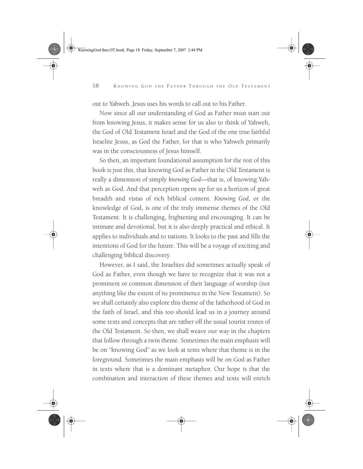KnowingGod thru OT.book Page 18 Friday, September 7, 2007 2:44 PM

#### 18 KNOWING GOD THE FATHER THROUGH THE OLD TESTAMENT

out to Yahweh. Jesus uses his words to call out to his Father.

Now since all our understanding of God as Father must start out from knowing Jesus, it makes sense for us also to think of Yahweh, the God of Old Testament Israel and the God of the one true faithful Israelite Jesus, as God the Father, for that is who Yahweh primarily was in the consciousness of Jesus himself.

So then, an important foundational assumption for the rest of this book is just this, that knowing God as Father in the Old Testament is really a dimension of simply *knowing God—*that is, of knowing Yahweh as God. And that perception opens up for us a horizon of great breadth and vistas of rich biblical content. *Knowing God,* or the knowledge of God, is one of the truly immense themes of the Old Testament. It is challenging, frightening and encouraging. It can be intimate and devotional, but it is also deeply practical and ethical. It applies to individuals and to nations. It looks to the past and fills the intentions of God for the future. This will be a voyage of exciting and challenging biblical discovery.

However, as I said, the Israelites did sometimes actually speak of God as Father, even though we have to recognize that it was not a prominent or common dimension of their language of worship (not anything like the extent of its prominence in the New Testament). So we shall certainly also explore this theme of the fatherhood of God in the faith of Israel, and this too should lead us in a journey around some texts and concepts that are rather off the usual tourist routes of the Old Testament. So then, we shall weave our way in the chapters that follow through a twin theme. Sometimes the main emphasis will be on "knowing God" as we look at texts where that theme is in the foreground. Sometimes the main emphasis will be on God as Father in texts where that is a dominant metaphor. Our hope is that the combination and interaction of these themes and texts will enrich